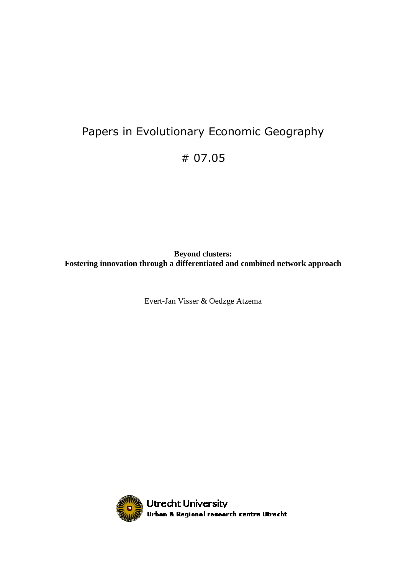# Papers in Evolutionary Economic Geography # 07.05

**Beyond clusters: Fostering innovation through a differentiated and combined network approach**

Evert-Jan Visser & Oedzge Atzema



**Utrecht University** Urban & Regional research centre Utrecht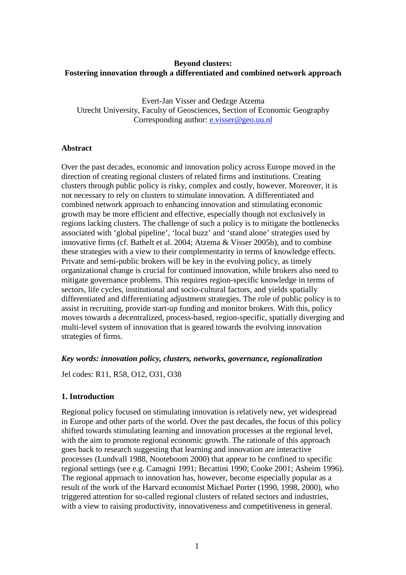# **Beyond clusters: Fostering innovation through a differentiated and combined network approach**

Evert-Jan Visser and Oedzge Atzema Utrecht University, Faculty of Geosciences, Section of Economic Geography Corresponding author: e.visser@geo.uu.nl

# **Abstract**

Over the past decades, economic and innovation policy across Europe moved in the direction of creating regional clusters of related firms and institutions. Creating clusters through public policy is risky, complex and costly, however. Moreover, it is not necessary to rely on clusters to stimulate innovation. A differentiated and combined network approach to enhancing innovation and stimulating economic growth may be more efficient and effective, especially though not exclusively in regions lacking clusters. The challenge of such a policy is to mitigate the bottlenecks associated with 'global pipeline', 'local buzz' and 'stand alone' strategies used by innovative firms (cf. Bathelt et al. 2004; Atzema & Visser 2005b), and to combine these strategies with a view to their complementarity in terms of knowledge effects. Private and semi-public brokers will be key in the evolving policy, as timely organizational change is crucial for continued innovation, while brokers also need to mitigate governance problems. This requires region-specific knowledge in terms of sectors, life cycles, institutional and socio-cultural factors, and yields spatially differentiated and differentiating adjustment strategies. The role of public policy is to assist in recruiting, provide start-up funding and monitor brokers. With this, policy moves towards a decentralized, process-based, region-specific, spatially diverging and multi-level system of innovation that is geared towards the evolving innovation strategies of firms.

## *Key words: innovation policy, clusters, networks, governance, regionalization*

Jel codes: R11, R58, O12, O31, O38

# **1. Introduction**

Regional policy focused on stimulating innovation is relatively new, yet widespread in Europe and other parts of the world. Over the past decades, the focus of this policy shifted towards stimulating learning and innovation processes at the regional level, with the aim to promote regional economic growth. The rationale of this approach goes back to research suggesting that learning and innovation are interactive processes (Lundvall 1988, Nooteboom 2000) that appear to be confined to specific regional settings (see e.g. Camagni 1991; Becattini 1990; Cooke 2001; Asheim 1996). The regional approach to innovation has, however, become especially popular as a result of the work of the Harvard economist Michael Porter (1990, 1998, 2000), who triggered attention for so-called regional clusters of related sectors and industries, with a view to raising productivity, innovativeness and competitiveness in general.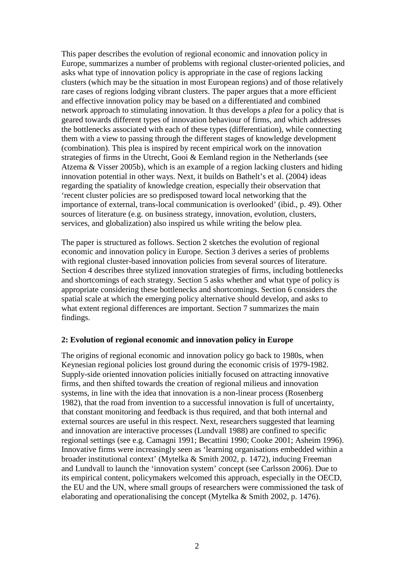This paper describes the evolution of regional economic and innovation policy in Europe, summarizes a number of problems with regional cluster-oriented policies, and asks what type of innovation policy is appropriate in the case of regions lacking clusters (which may be the situation in most European regions) and of those relatively rare cases of regions lodging vibrant clusters. The paper argues that a more efficient and effective innovation policy may be based on a differentiated and combined network approach to stimulating innovation. It thus develops a *plea* for a policy that is geared towards different types of innovation behaviour of firms, and which addresses the bottlenecks associated with each of these types (differentiation), while connecting them with a view to passing through the different stages of knowledge development (combination). This plea is inspired by recent empirical work on the innovation strategies of firms in the Utrecht, Gooi & Eemland region in the Netherlands (see Atzema & Visser 2005b), which is an example of a region lacking clusters and hiding innovation potential in other ways. Next, it builds on Bathelt's et al. (2004) ideas regarding the spatiality of knowledge creation, especially their observation that 'recent cluster policies are so predisposed toward local networking that the importance of external, trans-local communication is overlooked' (ibid., p. 49). Other sources of literature (e.g. on business strategy, innovation, evolution, clusters, services, and globalization) also inspired us while writing the below plea.

The paper is structured as follows. Section 2 sketches the evolution of regional economic and innovation policy in Europe. Section 3 derives a series of problems with regional cluster-based innovation policies from several sources of literature. Section 4 describes three stylized innovation strategies of firms, including bottlenecks and shortcomings of each strategy. Section 5 asks whether and what type of policy is appropriate considering these bottlenecks and shortcomings. Section 6 considers the spatial scale at which the emerging policy alternative should develop, and asks to what extent regional differences are important. Section 7 summarizes the main findings.

## **2: Evolution of regional economic and innovation policy in Europe**

The origins of regional economic and innovation policy go back to 1980s, when Keynesian regional policies lost ground during the economic crisis of 1979-1982. Supply-side oriented innovation policies initially focused on attracting innovative firms, and then shifted towards the creation of regional milieus and innovation systems, in line with the idea that innovation is a non-linear process (Rosenberg 1982), that the road from invention to a successful innovation is full of uncertainty, that constant monitoring and feedback is thus required, and that both internal and external sources are useful in this respect. Next, researchers suggested that learning and innovation are interactive processes (Lundvall 1988) are confined to specific regional settings (see e.g. Camagni 1991; Becattini 1990; Cooke 2001; Asheim 1996). Innovative firms were increasingly seen as 'learning organisations embedded within a broader institutional context' (Mytelka & Smith 2002, p. 1472), inducing Freeman and Lundvall to launch the 'innovation system' concept (see Carlsson 2006). Due to its empirical content, policymakers welcomed this approach, especially in the OECD, the EU and the UN, where small groups of researchers were commissioned the task of elaborating and operationalising the concept (Mytelka & Smith 2002, p. 1476).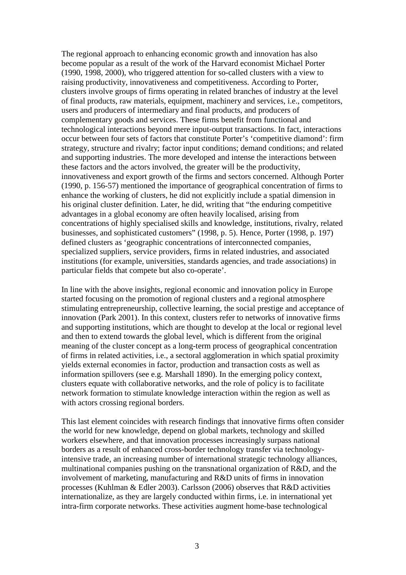The regional approach to enhancing economic growth and innovation has also become popular as a result of the work of the Harvard economist Michael Porter (1990, 1998, 2000), who triggered attention for so-called clusters with a view to raising productivity, innovativeness and competitiveness. According to Porter, clusters involve groups of firms operating in related branches of industry at the level of final products, raw materials, equipment, machinery and services, i.e., competitors, users and producers of intermediary and final products, and producers of complementary goods and services. These firms benefit from functional and technological interactions beyond mere input-output transactions. In fact, interactions occur between four sets of factors that constitute Porter's 'competitive diamond': firm strategy, structure and rivalry; factor input conditions; demand conditions; and related and supporting industries. The more developed and intense the interactions between these factors and the actors involved, the greater will be the productivity, innovativeness and export growth of the firms and sectors concerned. Although Porter (1990, p. 156-57) mentioned the importance of geographical concentration of firms to enhance the working of clusters, he did not explicitly include a spatial dimension in his original cluster definition. Later, he did, writing that "the enduring competitive advantages in a global economy are often heavily localised, arising from concentrations of highly specialised skills and knowledge, institutions, rivalry, related businesses, and sophisticated customers" (1998, p. 5). Hence, Porter (1998, p. 197) defined clusters as 'geographic concentrations of interconnected companies, specialized suppliers, service providers, firms in related industries, and associated institutions (for example, universities, standards agencies, and trade associations) in particular fields that compete but also co-operate'.

In line with the above insights, regional economic and innovation policy in Europe started focusing on the promotion of regional clusters and a regional atmosphere stimulating entrepreneurship, collective learning, the social prestige and acceptance of innovation (Park 2001). In this context, clusters refer to networks of innovative firms and supporting institutions, which are thought to develop at the local or regional level and then to extend towards the global level, which is different from the original meaning of the cluster concept as a long-term process of geographical concentration of firms in related activities, i.e., a sectoral agglomeration in which spatial proximity yields external economies in factor, production and transaction costs as well as information spillovers (see e.g. Marshall 1890). In the emerging policy context, clusters equate with collaborative networks, and the role of policy is to facilitate network formation to stimulate knowledge interaction within the region as well as with actors crossing regional borders.

This last element coincides with research findings that innovative firms often consider the world for new knowledge, depend on global markets, technology and skilled workers elsewhere, and that innovation processes increasingly surpass national borders as a result of enhanced cross-border technology transfer via technologyintensive trade, an increasing number of international strategic technology alliances, multinational companies pushing on the transnational organization of R&D, and the involvement of marketing, manufacturing and R&D units of firms in innovation processes (Kuhlman & Edler 2003). Carlsson (2006) observes that R&D activities internationalize, as they are largely conducted within firms, i.e. in international yet intra-firm corporate networks. These activities augment home-base technological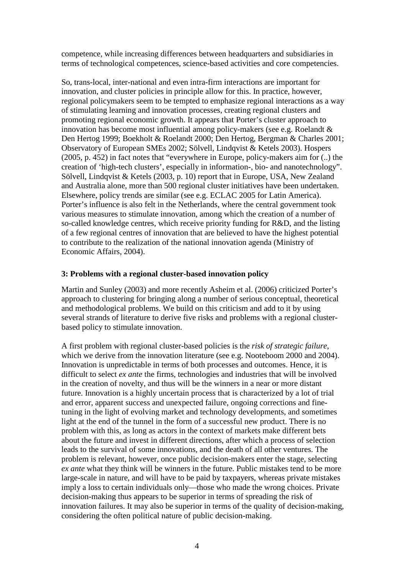competence, while increasing differences between headquarters and subsidiaries in terms of technological competences, science-based activities and core competencies.

So, trans-local, inter-national and even intra-firm interactions are important for innovation, and cluster policies in principle allow for this. In practice, however, regional policymakers seem to be tempted to emphasize regional interactions as a way of stimulating learning and innovation processes, creating regional clusters and promoting regional economic growth. It appears that Porter's cluster approach to innovation has become most influential among policy-makers (see e.g. Roelandt & Den Hertog 1999; Boekholt & Roelandt 2000; Den Hertog, Bergman & Charles 2001; Observatory of European SMEs 2002; Sölvell, Lindqvist & Ketels 2003). Hospers (2005, p. 452) in fact notes that "everywhere in Europe, policy-makers aim for (..) the creation of 'high-tech clusters', especially in information-, bio- and nanotechnology". Sölvell, Lindqvist & Ketels (2003, p. 10) report that in Europe, USA, New Zealand and Australia alone, more than 500 regional cluster initiatives have been undertaken. Elsewhere, policy trends are similar (see e.g. ECLAC 2005 for Latin America). Porter's influence is also felt in the Netherlands, where the central government took various measures to stimulate innovation, among which the creation of a number of so-called knowledge centres, which receive priority funding for R&D, and the listing of a few regional centres of innovation that are believed to have the highest potential to contribute to the realization of the national innovation agenda (Ministry of Economic Affairs, 2004).

## **3: Problems with a regional cluster-based innovation policy**

Martin and Sunley (2003) and more recently Asheim et al. (2006) criticized Porter's approach to clustering for bringing along a number of serious conceptual, theoretical and methodological problems. We build on this criticism and add to it by using several strands of literature to derive five risks and problems with a regional clusterbased policy to stimulate innovation.

A first problem with regional cluster-based policies is the *risk of strategic failure*, which we derive from the innovation literature (see e.g. Nooteboom 2000 and 2004). Innovation is unpredictable in terms of both processes and outcomes. Hence, it is difficult to select *ex ante* the firms, technologies and industries that will be involved in the creation of novelty, and thus will be the winners in a near or more distant future. Innovation is a highly uncertain process that is characterized by a lot of trial and error, apparent success and unexpected failure, ongoing corrections and finetuning in the light of evolving market and technology developments, and sometimes light at the end of the tunnel in the form of a successful new product. There is no problem with this, as long as actors in the context of markets make different bets about the future and invest in different directions, after which a process of selection leads to the survival of some innovations, and the death of all other ventures. The problem is relevant, however, once public decision-makers enter the stage, selecting *ex ante* what they think will be winners in the future. Public mistakes tend to be more large-scale in nature, and will have to be paid by taxpayers, whereas private mistakes imply a loss to certain individuals only—those who made the wrong choices. Private decision-making thus appears to be superior in terms of spreading the risk of innovation failures. It may also be superior in terms of the quality of decision-making, considering the often political nature of public decision-making.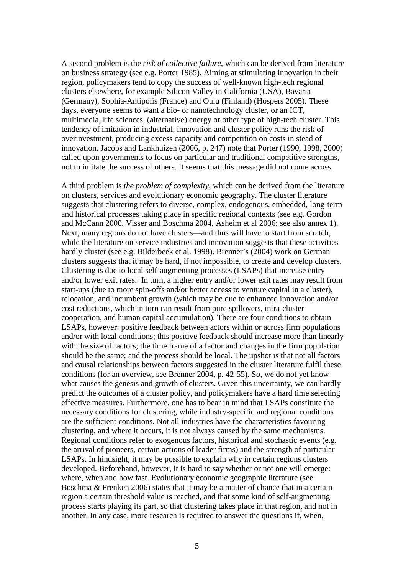A second problem is the *risk of collective failure*, which can be derived from literature on business strategy (see e.g. Porter 1985). Aiming at stimulating innovation in their region, policymakers tend to copy the success of well-known high-tech regional clusters elsewhere, for example Silicon Valley in California (USA), Bavaria (Germany), Sophia-Antipolis (France) and Oulu (Finland) (Hospers 2005). These days, everyone seems to want a bio- or nanotechnology cluster, or an ICT, multimedia, life sciences, (alternative) energy or other type of high-tech cluster. This tendency of imitation in industrial, innovation and cluster policy runs the risk of overinvestment, producing excess capacity and competition on costs in stead of innovation. Jacobs and Lankhuizen (2006, p. 247) note that Porter (1990, 1998, 2000) called upon governments to focus on particular and traditional competitive strengths, not to imitate the success of others. It seems that this message did not come across.

A third problem is *the problem of complexity*, which can be derived from the literature on clusters, services and evolutionary economic geography. The cluster literature suggests that clustering refers to diverse, complex, endogenous, embedded, long-term and historical processes taking place in specific regional contexts (see e.g. Gordon and McCann 2000, Visser and Boschma 2004, Asheim et al 2006; see also annex 1). Next, many regions do not have clusters—and thus will have to start from scratch, while the literature on service industries and innovation suggests that these activities hardly cluster (see e.g. Bilderbeek et al. 1998). Brenner's (2004) work on German clusters suggests that it may be hard, if not impossible, to create and develop clusters. Clustering is due to local self-augmenting processes (LSAPs) that increase entry and/or lower exit rates. 1 In turn, a higher entry and/or lower exit rates may result from start-ups (due to more spin-offs and/or better access to venture capital in a cluster), relocation, and incumbent growth (which may be due to enhanced innovation and/or cost reductions, which in turn can result from pure spillovers, intra-cluster cooperation, and human capital accumulation). There are four conditions to obtain LSAPs, however: positive feedback between actors within or across firm populations and/or with local conditions; this positive feedback should increase more than linearly with the size of factors; the time frame of a factor and changes in the firm population should be the same; and the process should be local. The upshot is that not all factors and causal relationships between factors suggested in the cluster literature fulfil these conditions (for an overview, see Brenner 2004, p. 42-55). So, we do not yet know what causes the genesis and growth of clusters. Given this uncertainty, we can hardly predict the outcomes of a cluster policy, and policymakers have a hard time selecting effective measures. Furthermore, one has to bear in mind that LSAPs constitute the necessary conditions for clustering, while industry-specific and regional conditions are the sufficient conditions. Not all industries have the characteristics favouring clustering, and where it occurs, it is not always caused by the same mechanisms. Regional conditions refer to exogenous factors, historical and stochastic events (e.g. the arrival of pioneers, certain actions of leader firms) and the strength of particular LSAPs. In hindsight, it may be possible to explain why in certain regions clusters developed. Beforehand, however, it is hard to say whether or not one will emerge: where, when and how fast. Evolutionary economic geographic literature (see Boschma & Frenken 2006) states that it may be a matter of chance that in a certain region a certain threshold value is reached, and that some kind of self-augmenting process starts playing its part, so that clustering takes place in that region, and not in another. In any case, more research is required to answer the questions if, when,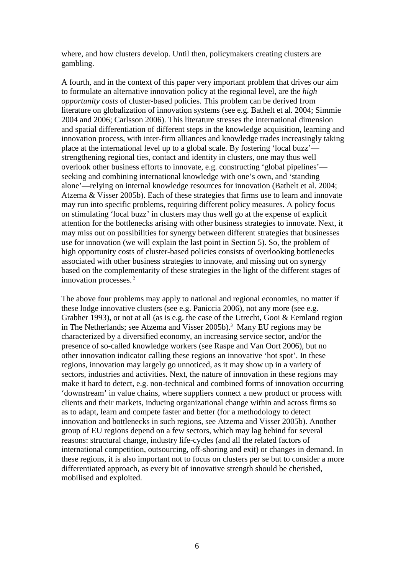where, and how clusters develop. Until then, policymakers creating clusters are gambling.

A fourth, and in the context of this paper very important problem that drives our aim to formulate an alternative innovation policy at the regional level, are the *high opportunity costs* of cluster-based policies. This problem can be derived from literature on globalization of innovation systems (see e.g. Bathelt et al. 2004; Simmie 2004 and 2006; Carlsson 2006). This literature stresses the international dimension and spatial differentiation of different steps in the knowledge acquisition, learning and innovation process, with inter-firm alliances and knowledge trades increasingly taking place at the international level up to a global scale. By fostering 'local buzz' strengthening regional ties, contact and identity in clusters, one may thus well overlook other business efforts to innovate, e.g. constructing 'global pipelines' seeking and combining international knowledge with one's own, and 'standing alone'—relying on internal knowledge resources for innovation (Bathelt et al. 2004; Atzema & Visser 2005b). Each of these strategies that firms use to learn and innovate may run into specific problems, requiring different policy measures. A policy focus on stimulating 'local buzz' in clusters may thus well go at the expense of explicit attention for the bottlenecks arising with other business strategies to innovate. Next, it may miss out on possibilities for synergy between different strategies that businesses use for innovation (we will explain the last point in Section 5). So, the problem of high opportunity costs of cluster-based policies consists of overlooking bottlenecks associated with other business strategies to innovate, and missing out on synergy based on the complementarity of these strategies in the light of the different stages of innovation processes. 2

The above four problems may apply to national and regional economies, no matter if these lodge innovative clusters (see e.g. Paniccia 2006), not any more (see e.g. Grabher 1993), or not at all (as is e.g. the case of the Utrecht, Gooi & Eemland region in The Netherlands; see Atzema and Visser 2005b). <sup>3</sup> Many EU regions may be characterized by a diversified economy, an increasing service sector, and/or the presence of so-called knowledge workers (see Raspe and Van Oort 2006), but no other innovation indicator calling these regions an innovative 'hot spot'. In these regions, innovation may largely go unnoticed, as it may show up in a variety of sectors, industries and activities. Next, the nature of innovation in these regions may make it hard to detect, e.g. non-technical and combined forms of innovation occurring 'downstream' in value chains, where suppliers connect a new product or process with clients and their markets, inducing organizational change within and across firms so as to adapt, learn and compete faster and better (for a methodology to detect innovation and bottlenecks in such regions, see Atzema and Visser 2005b). Another group of EU regions depend on a few sectors, which may lag behind for several reasons: structural change, industry life-cycles (and all the related factors of international competition, outsourcing, off-shoring and exit) or changes in demand. In these regions, it is also important not to focus on clusters per se but to consider a more differentiated approach, as every bit of innovative strength should be cherished, mobilised and exploited.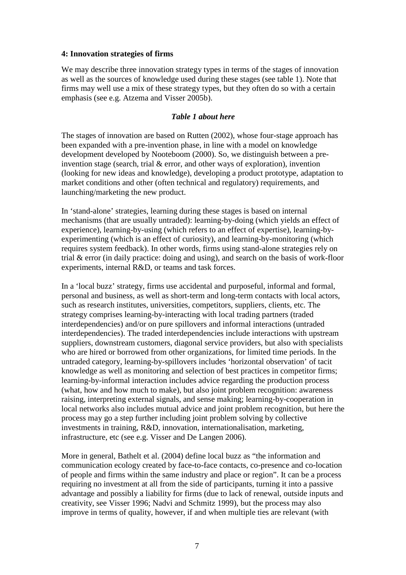#### **4: Innovation strategies of firms**

We may describe three innovation strategy types in terms of the stages of innovation as well as the sources of knowledge used during these stages (see table 1). Note that firms may well use a mix of these strategy types, but they often do so with a certain emphasis (see e.g. Atzema and Visser 2005b).

#### *Table 1 about here*

The stages of innovation are based on Rutten (2002), whose four-stage approach has been expanded with a pre-invention phase, in line with a model on knowledge development developed by Nooteboom (2000). So, we distinguish between a preinvention stage (search, trial & error, and other ways of exploration), invention (looking for new ideas and knowledge), developing a product prototype, adaptation to market conditions and other (often technical and regulatory) requirements, and launching/marketing the new product.

In 'stand-alone' strategies, learning during these stages is based on internal mechanisms (that are usually untraded): learning-by-doing (which yields an effect of experience), learning-by-using (which refers to an effect of expertise), learning-byexperimenting (which is an effect of curiosity), and learning-by-monitoring (which requires system feedback). In other words, firms using stand-alone strategies rely on trial & error (in daily practice: doing and using), and search on the basis of work-floor experiments, internal R&D, or teams and task forces.

In a 'local buzz' strategy, firms use accidental and purposeful, informal and formal, personal and business, as well as short-term and long-term contacts with local actors, such as research institutes, universities, competitors, suppliers, clients, etc. The strategy comprises learning-by-interacting with local trading partners (traded interdependencies) and/or on pure spillovers and informal interactions (untraded interdependencies). The traded interdependencies include interactions with upstream suppliers, downstream customers, diagonal service providers, but also with specialists who are hired or borrowed from other organizations, for limited time periods. In the untraded category, learning-by-spillovers includes 'horizontal observation' of tacit knowledge as well as monitoring and selection of best practices in competitor firms; learning-by-informal interaction includes advice regarding the production process (what, how and how much to make), but also joint problem recognition: awareness raising, interpreting external signals, and sense making; learning-by-cooperation in local networks also includes mutual advice and joint problem recognition, but here the process may go a step further including joint problem solving by collective investments in training, R&D, innovation, internationalisation, marketing, infrastructure, etc (see e.g. Visser and De Langen 2006).

More in general, Bathelt et al. (2004) define local buzz as "the information and communication ecology created by face-to-face contacts, co-presence and co-location of people and firms within the same industry and place or region". It can be a process requiring no investment at all from the side of participants, turning it into a passive advantage and possibly a liability for firms (due to lack of renewal, outside inputs and creativity, see Visser 1996; Nadvi and Schmitz 1999), but the process may also improve in terms of quality, however, if and when multiple ties are relevant (with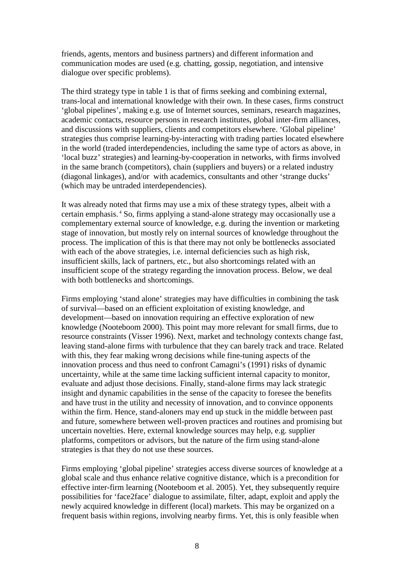friends, agents, mentors and business partners) and different information and communication modes are used (e.g. chatting, gossip, negotiation, and intensive dialogue over specific problems).

The third strategy type in table 1 is that of firms seeking and combining external, trans-local and international knowledge with their own. In these cases, firms construct 'global pipelines', making e.g. use of Internet sources, seminars, research magazines, academic contacts, resource persons in research institutes, global inter-firm alliances, and discussions with suppliers, clients and competitors elsewhere. 'Global pipeline' strategies thus comprise learning-by-interacting with trading parties located elsewhere in the world (traded interdependencies, including the same type of actors as above, in 'local buzz' strategies) and learning-by-cooperation in networks, with firms involved in the same branch (competitors), chain (suppliers and buyers) or a related industry (diagonal linkages), and/or with academics, consultants and other 'strange ducks' (which may be untraded interdependencies).

It was already noted that firms may use a mix of these strategy types, albeit with a certain emphasis. <sup>4</sup> So, firms applying a stand-alone strategy may occasionally use a complementary external source of knowledge, e.g. during the invention or marketing stage of innovation, but mostly rely on internal sources of knowledge throughout the process. The implication of this is that there may not only be bottlenecks associated with each of the above strategies, i.e. internal deficiencies such as high risk, insufficient skills, lack of partners, etc., but also shortcomings related with an insufficient scope of the strategy regarding the innovation process. Below, we deal with both bottlenecks and shortcomings.

Firms employing 'stand alone' strategies may have difficulties in combining the task of survival—based on an efficient exploitation of existing knowledge, and development—based on innovation requiring an effective exploration of new knowledge (Nooteboom 2000). This point may more relevant for small firms, due to resource constraints (Visser 1996). Next, market and technology contexts change fast, leaving stand-alone firms with turbulence that they can barely track and trace. Related with this, they fear making wrong decisions while fine-tuning aspects of the innovation process and thus need to confront Camagni's (1991) risks of dynamic uncertainty, while at the same time lacking sufficient internal capacity to monitor, evaluate and adjust those decisions. Finally, stand-alone firms may lack strategic insight and dynamic capabilities in the sense of the capacity to foresee the benefits and have trust in the utility and necessity of innovation, and to convince opponents within the firm. Hence, stand-aloners may end up stuck in the middle between past and future, somewhere between well-proven practices and routines and promising but uncertain novelties. Here, external knowledge sources may help, e.g. supplier platforms, competitors or advisors, but the nature of the firm using stand-alone strategies is that they do not use these sources.

Firms employing 'global pipeline' strategies access diverse sources of knowledge at a global scale and thus enhance relative cognitive distance, which is a precondition for effective inter-firm learning (Nooteboom et al. 2005). Yet, they subsequently require possibilities for 'face2face' dialogue to assimilate, filter, adapt, exploit and apply the newly acquired knowledge in different (local) markets. This may be organized on a frequent basis within regions, involving nearby firms. Yet, this is only feasible when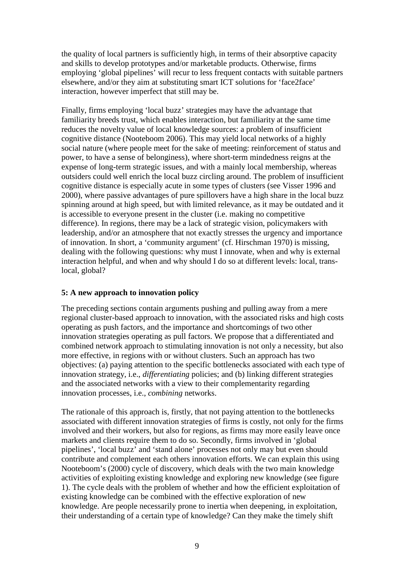the quality of local partners is sufficiently high, in terms of their absorptive capacity and skills to develop prototypes and/or marketable products. Otherwise, firms employing 'global pipelines' will recur to less frequent contacts with suitable partners elsewhere, and/or they aim at substituting smart ICT solutions for 'face2face' interaction, however imperfect that still may be.

Finally, firms employing 'local buzz' strategies may have the advantage that familiarity breeds trust, which enables interaction, but familiarity at the same time reduces the novelty value of local knowledge sources: a problem of insufficient cognitive distance (Nooteboom 2006). This may yield local networks of a highly social nature (where people meet for the sake of meeting: reinforcement of status and power, to have a sense of belonginess), where short-term mindedness reigns at the expense of long-term strategic issues, and with a mainly local membership, whereas outsiders could well enrich the local buzz circling around. The problem of insufficient cognitive distance is especially acute in some types of clusters (see Visser 1996 and 2000), where passive advantages of pure spillovers have a high share in the local buzz spinning around at high speed, but with limited relevance, as it may be outdated and it is accessible to everyone present in the cluster (i.e. making no competitive difference). In regions, there may be a lack of strategic vision, policymakers with leadership, and/or an atmosphere that not exactly stresses the urgency and importance of innovation. In short, a 'community argument' (cf. Hirschman 1970) is missing, dealing with the following questions: why must I innovate, when and why is external interaction helpful, and when and why should I do so at different levels: local, translocal, global?

# **5: A new approach to innovation policy**

The preceding sections contain arguments pushing and pulling away from a mere regional cluster-based approach to innovation, with the associated risks and high costs operating as push factors, and the importance and shortcomings of two other innovation strategies operating as pull factors. We propose that a differentiated and combined network approach to stimulating innovation is not only a necessity, but also more effective, in regions with or without clusters. Such an approach has two objectives: (a) paying attention to the specific bottlenecks associated with each type of innovation strategy, i.e., *differentiating* policies; and (b) linking different strategies and the associated networks with a view to their complementarity regarding innovation processes, i.e., *combining* networks.

The rationale of this approach is, firstly, that not paying attention to the bottlenecks associated with different innovation strategies of firms is costly, not only for the firms involved and their workers, but also for regions, as firms may more easily leave once markets and clients require them to do so. Secondly, firms involved in 'global pipelines', 'local buzz' and 'stand alone' processes not only may but even should contribute and complement each others innovation efforts. We can explain this using Nooteboom's (2000) cycle of discovery, which deals with the two main knowledge activities of exploiting existing knowledge and exploring new knowledge (see figure 1). The cycle deals with the problem of whether and how the efficient exploitation of existing knowledge can be combined with the effective exploration of new knowledge. Are people necessarily prone to inertia when deepening, in exploitation, their understanding of a certain type of knowledge? Can they make the timely shift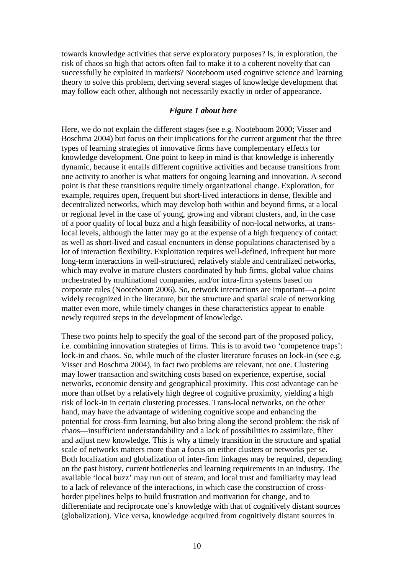towards knowledge activities that serve exploratory purposes? Is, in exploration, the risk of chaos so high that actors often fail to make it to a coherent novelty that can successfully be exploited in markets? Nooteboom used cognitive science and learning theory to solve this problem, deriving several stages of knowledge development that may follow each other, although not necessarily exactly in order of appearance.

#### *Figure 1 about here*

Here, we do not explain the different stages (see e.g. Nooteboom 2000; Visser and Boschma 2004) but focus on their implications for the current argument that the three types of learning strategies of innovative firms have complementary effects for knowledge development. One point to keep in mind is that knowledge is inherently dynamic, because it entails different cognitive activities and because transitions from one activity to another is what matters for ongoing learning and innovation. A second point is that these transitions require timely organizational change. Exploration, for example, requires open, frequent but short-lived interactions in dense, flexible and decentralized networks, which may develop both within and beyond firms, at a local or regional level in the case of young, growing and vibrant clusters, and, in the case of a poor quality of local buzz and a high feasibility of non-local networks, at translocal levels, although the latter may go at the expense of a high frequency of contact as well as short-lived and casual encounters in dense populations characterised by a lot of interaction flexibility. Exploitation requires well-defined, infrequent but more long-term interactions in well-structured, relatively stable and centralized networks, which may evolve in mature clusters coordinated by hub firms, global value chains orchestrated by multinational companies, and/or intra-firm systems based on corporate rules (Nooteboom 2006). So, network interactions are important—a point widely recognized in the literature, but the structure and spatial scale of networking matter even more, while timely changes in these characteristics appear to enable newly required steps in the development of knowledge.

These two points help to specify the goal of the second part of the proposed policy, i.e. combining innovation strategies of firms. This is to avoid two 'competence traps': lock-in and chaos. So, while much of the cluster literature focuses on lock-in (see e.g. Visser and Boschma 2004), in fact two problems are relevant, not one. Clustering may lower transaction and switching costs based on experience, expertise, social networks, economic density and geographical proximity. This cost advantage can be more than offset by a relatively high degree of cognitive proximity, yielding a high risk of lock-in in certain clustering processes. Trans-local networks, on the other hand, may have the advantage of widening cognitive scope and enhancing the potential for cross-firm learning, but also bring along the second problem: the risk of chaos—insufficient understandability and a lack of possibilities to assimilate, filter and adjust new knowledge. This is why a timely transition in the structure and spatial scale of networks matters more than a focus on either clusters or networks per se. Both localization and globalization of inter-firm linkages may be required, depending on the past history, current bottlenecks and learning requirements in an industry. The available 'local buzz' may run out of steam, and local trust and familiarity may lead to a lack of relevance of the interactions, in which case the construction of crossborder pipelines helps to build frustration and motivation for change, and to differentiate and reciprocate one's knowledge with that of cognitively distant sources (globalization). Vice versa, knowledge acquired from cognitively distant sources in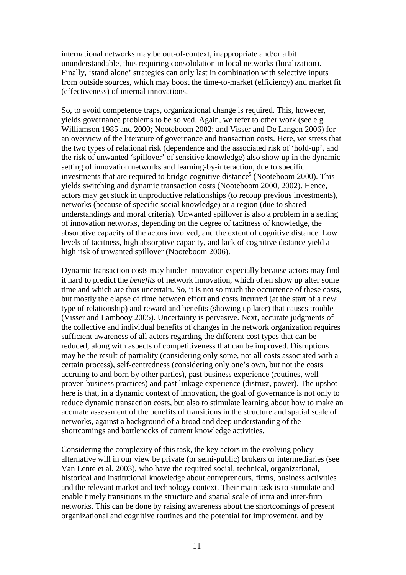international networks may be out-of-context, inappropriate and/or a bit ununderstandable, thus requiring consolidation in local networks (localization). Finally, 'stand alone' strategies can only last in combination with selective inputs from outside sources, which may boost the time-to-market (efficiency) and market fit (effectiveness) of internal innovations.

So, to avoid competence traps, organizational change is required. This, however, yields governance problems to be solved. Again, we refer to other work (see e.g. Williamson 1985 and 2000; Nooteboom 2002; and Visser and De Langen 2006) for an overview of the literature of governance and transaction costs. Here, we stress that the two types of relational risk (dependence and the associated risk of 'hold-up', and the risk of unwanted 'spillover' of sensitive knowledge) also show up in the dynamic setting of innovation networks and learning-by-interaction, due to specific investments that are required to bridge cognitive distance 5 (Nooteboom 2000). This yields switching and dynamic transaction costs (Nooteboom 2000, 2002). Hence, actors may get stuck in unproductive relationships (to recoup previous investments), networks (because of specific social knowledge) or a region (due to shared understandings and moral criteria). Unwanted spillover is also a problem in a setting of innovation networks, depending on the degree of tacitness of knowledge, the absorptive capacity of the actors involved, and the extent of cognitive distance. Low levels of tacitness, high absorptive capacity, and lack of cognitive distance yield a high risk of unwanted spillover (Nooteboom 2006).

Dynamic transaction costs may hinder innovation especially because actors may find it hard to predict the *benefits* of network innovation, which often show up after some time and which are thus uncertain. So, it is not so much the occurrence of these costs, but mostly the elapse of time between effort and costs incurred (at the start of a new type of relationship) and reward and benefits (showing up later) that causes trouble (Visser and Lambooy 2005). Uncertainty is pervasive. Next, accurate judgments of the collective and individual benefits of changes in the network organization requires sufficient awareness of all actors regarding the different cost types that can be reduced, along with aspects of competitiveness that can be improved. Disruptions may be the result of partiality (considering only some, not all costs associated with a certain process), self-centredness (considering only one's own, but not the costs accruing to and born by other parties), past business experience (routines, wellproven business practices) and past linkage experience (distrust, power). The upshot here is that, in a dynamic context of innovation, the goal of governance is not only to reduce dynamic transaction costs, but also to stimulate learning about how to make an accurate assessment of the benefits of transitions in the structure and spatial scale of networks, against a background of a broad and deep understanding of the shortcomings and bottlenecks of current knowledge activities.

Considering the complexity of this task, the key actors in the evolving policy alternative will in our view be private (or semi-public) brokers or intermediaries (see Van Lente et al. 2003), who have the required social, technical, organizational, historical and institutional knowledge about entrepreneurs, firms, business activities and the relevant market and technology context. Their main task is to stimulate and enable timely transitions in the structure and spatial scale of intra and inter-firm networks. This can be done by raising awareness about the shortcomings of present organizational and cognitive routines and the potential for improvement, and by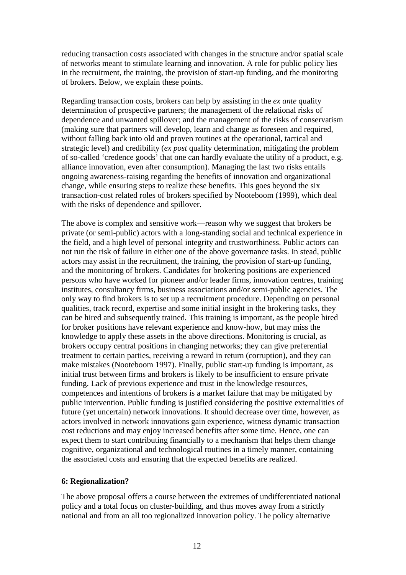reducing transaction costs associated with changes in the structure and/or spatial scale of networks meant to stimulate learning and innovation. A role for public policy lies in the recruitment, the training, the provision of start-up funding, and the monitoring of brokers. Below, we explain these points.

Regarding transaction costs, brokers can help by assisting in the *ex ante* quality determination of prospective partners; the management of the relational risks of dependence and unwanted spillover; and the management of the risks of conservatism (making sure that partners will develop, learn and change as foreseen and required, without falling back into old and proven routines at the operational, tactical and strategic level) and credibility (*ex post* quality determination, mitigating the problem of so-called 'credence goods' that one can hardly evaluate the utility of a product, e.g. alliance innovation, even after consumption). Managing the last two risks entails ongoing awareness-raising regarding the benefits of innovation and organizational change, while ensuring steps to realize these benefits. This goes beyond the six transaction-cost related roles of brokers specified by Nooteboom (1999), which deal with the risks of dependence and spillover.

The above is complex and sensitive work—reason why we suggest that brokers be private (or semi-public) actors with a long-standing social and technical experience in the field, and a high level of personal integrity and trustworthiness. Public actors can not run the risk of failure in either one of the above governance tasks. In stead, public actors may assist in the recruitment, the training, the provision of start-up funding, and the monitoring of brokers. Candidates for brokering positions are experienced persons who have worked for pioneer and/or leader firms, innovation centres, training institutes, consultancy firms, business associations and/or semi-public agencies. The only way to find brokers is to set up a recruitment procedure. Depending on personal qualities, track record, expertise and some initial insight in the brokering tasks, they can be hired and subsequently trained. This training is important, as the people hired for broker positions have relevant experience and know-how, but may miss the knowledge to apply these assets in the above directions. Monitoring is crucial, as brokers occupy central positions in changing networks; they can give preferential treatment to certain parties, receiving a reward in return (corruption), and they can make mistakes (Nooteboom 1997). Finally, public start-up funding is important, as initial trust between firms and brokers is likely to be insufficient to ensure private funding. Lack of previous experience and trust in the knowledge resources, competences and intentions of brokers is a market failure that may be mitigated by public intervention. Public funding is justified considering the positive externalities of future (yet uncertain) network innovations. It should decrease over time, however, as actors involved in network innovations gain experience, witness dynamic transaction cost reductions and may enjoy increased benefits after some time. Hence, one can expect them to start contributing financially to a mechanism that helps them change cognitive, organizational and technological routines in a timely manner, containing the associated costs and ensuring that the expected benefits are realized.

#### **6: Regionalization?**

The above proposal offers a course between the extremes of undifferentiated national policy and a total focus on cluster-building, and thus moves away from a strictly national and from an all too regionalized innovation policy. The policy alternative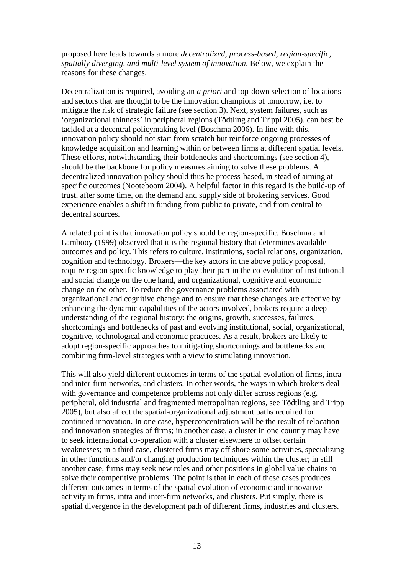proposed here leads towards a more *decentralized, process-based, region-specific, spatially diverging, and multi-level system of innovation*. Below, we explain the reasons for these changes.

Decentralization is required, avoiding an *a priori* and top-down selection of locations and sectors that are thought to be the innovation champions of tomorrow, i.e. to mitigate the risk of strategic failure (see section 3). Next, system failures, such as 'organizational thinness' in peripheral regions (Tödtling and Trippl 2005), can best be tackled at a decentral policymaking level (Boschma 2006). In line with this, innovation policy should not start from scratch but reinforce ongoing processes of knowledge acquisition and learning within or between firms at different spatial levels. These efforts, notwithstanding their bottlenecks and shortcomings (see section 4), should be the backbone for policy measures aiming to solve these problems. A decentralized innovation policy should thus be process-based, in stead of aiming at specific outcomes (Nooteboom 2004). A helpful factor in this regard is the build-up of trust, after some time, on the demand and supply side of brokering services. Good experience enables a shift in funding from public to private, and from central to decentral sources.

A related point is that innovation policy should be region-specific. Boschma and Lambooy (1999) observed that it is the regional history that determines available outcomes and policy. This refers to culture, institutions, social relations, organization, cognition and technology. Brokers—the key actors in the above policy proposal, require region-specific knowledge to play their part in the co-evolution of institutional and social change on the one hand, and organizational, cognitive and economic change on the other. To reduce the governance problems associated with organizational and cognitive change and to ensure that these changes are effective by enhancing the dynamic capabilities of the actors involved, brokers require a deep understanding of the regional history: the origins, growth, successes, failures, shortcomings and bottlenecks of past and evolving institutional, social, organizational, cognitive, technological and economic practices. As a result, brokers are likely to adopt region-specific approaches to mitigating shortcomings and bottlenecks and combining firm-level strategies with a view to stimulating innovation.

This will also yield different outcomes in terms of the spatial evolution of firms, intra and inter-firm networks, and clusters. In other words, the ways in which brokers deal with governance and competence problems not only differ across regions (e.g. peripheral, old industrial and fragmented metropolitan regions, see Tödtling and Tripp 2005), but also affect the spatial-organizational adjustment paths required for continued innovation. In one case, hyperconcentration will be the result of relocation and innovation strategies of firms; in another case, a cluster in one country may have to seek international co-operation with a cluster elsewhere to offset certain weaknesses; in a third case, clustered firms may off shore some activities, specializing in other functions and/or changing production techniques within the cluster; in still another case, firms may seek new roles and other positions in global value chains to solve their competitive problems. The point is that in each of these cases produces different outcomes in terms of the spatial evolution of economic and innovative activity in firms, intra and inter-firm networks, and clusters. Put simply, there is spatial divergence in the development path of different firms, industries and clusters.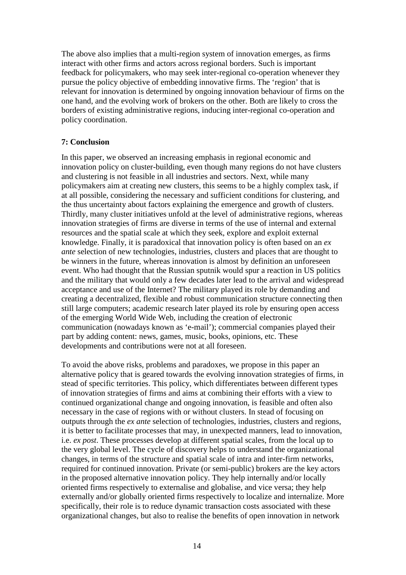The above also implies that a multi-region system of innovation emerges, as firms interact with other firms and actors across regional borders. Such is important feedback for policymakers, who may seek inter-regional co-operation whenever they pursue the policy objective of embedding innovative firms. The 'region' that is relevant for innovation is determined by ongoing innovation behaviour of firms on the one hand, and the evolving work of brokers on the other. Both are likely to cross the borders of existing administrative regions, inducing inter-regional co-operation and policy coordination.

# **7: Conclusion**

In this paper, we observed an increasing emphasis in regional economic and innovation policy on cluster-building, even though many regions do not have clusters and clustering is not feasible in all industries and sectors. Next, while many policymakers aim at creating new clusters, this seems to be a highly complex task, if at all possible, considering the necessary and sufficient conditions for clustering, and the thus uncertainty about factors explaining the emergence and growth of clusters. Thirdly, many cluster initiatives unfold at the level of administrative regions, whereas innovation strategies of firms are diverse in terms of the use of internal and external resources and the spatial scale at which they seek, explore and exploit external knowledge. Finally, it is paradoxical that innovation policy is often based on an *ex ante* selection of new technologies, industries, clusters and places that are thought to be winners in the future, whereas innovation is almost by definition an unforeseen event. Who had thought that the Russian sputnik would spur a reaction in US politics and the military that would only a few decades later lead to the arrival and widespread acceptance and use of the Internet? The military played its role by demanding and creating a decentralized, flexible and robust communication structure connecting then still large computers; academic research later played its role by ensuring open access of the emerging World Wide Web, including the creation of electronic communication (nowadays known as 'e-mail'); commercial companies played their part by adding content: news, games, music, books, opinions, etc. These developments and contributions were not at all foreseen.

To avoid the above risks, problems and paradoxes, we propose in this paper an alternative policy that is geared towards the evolving innovation strategies of firms, in stead of specific territories. This policy, which differentiates between different types of innovation strategies of firms and aims at combining their efforts with a view to continued organizational change and ongoing innovation, is feasible and often also necessary in the case of regions with or without clusters. In stead of focusing on outputs through the *ex ante* selection of technologies, industries, clusters and regions, it is better to facilitate processes that may, in unexpected manners, lead to innovation, i.e. *ex post*. These processes develop at different spatial scales, from the local up to the very global level. The cycle of discovery helps to understand the organizational changes, in terms of the structure and spatial scale of intra and inter-firm networks, required for continued innovation. Private (or semi-public) brokers are the key actors in the proposed alternative innovation policy. They help internally and/or locally oriented firms respectively to externalise and globalise, and vice versa; they help externally and/or globally oriented firms respectively to localize and internalize. More specifically, their role is to reduce dynamic transaction costs associated with these organizational changes, but also to realise the benefits of open innovation in network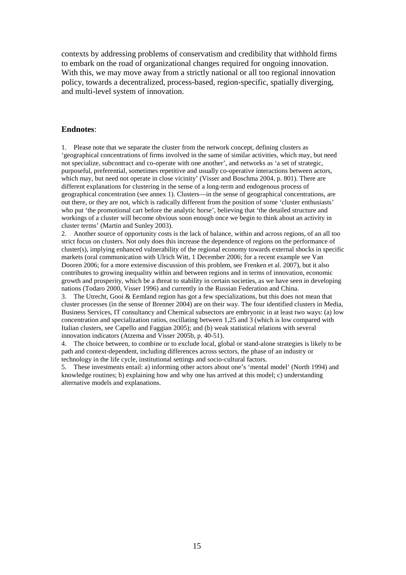contexts by addressing problems of conservatism and credibility that withhold firms to embark on the road of organizational changes required for ongoing innovation. With this, we may move away from a strictly national or all too regional innovation policy, towards a decentralized, process-based, region-specific, spatially diverging, and multi-level system of innovation.

#### **Endnotes**:

1. Please note that we separate the cluster from the network concept, defining clusters as 'geographical concentrations of firms involved in the same of similar activities, which may, but need not specialize, subcontract and co-operate with one another', and networks as 'a set of strategic, purposeful, preferential, sometimes repetitive and usually co-operative interactions between actors, which may, but need not operate in close vicinity' (Visser and Boschma 2004, p. 801). There are different explanations for clustering in the sense of a long-term and endogenous process of geographical concentration (see annex 1). Clusters—in the sense of geographical concentrations, are out there, or they are not, which is radically different from the position of some 'cluster enthusiasts' who put 'the promotional cart before the analytic horse', believing that 'the detailed structure and workings of a cluster will become obvious soon enough once we begin to think about an activity in cluster terms' (Martin and Sunley 2003).

2. Another source of opportunity costs is the lack of balance, within and across regions, of an all too strict focus on clusters. Not only does this increase the dependence of regions on the performance of cluster(s), implying enhanced vulnerability of the regional economy towards external shocks in specific markets (oral communication with Ulrich Witt, 1 December 2006; for a recent example see Van Dooren 2006; for a more extensive discussion of this problem, see Frenken et al. 2007), but it also contributes to growing inequality within and between regions and in terms of innovation, economic growth and prosperity, which be a threat to stability in certain societies, as we have seen in developing nations (Todaro 2000, Visser 1996) and currently in the Russian Federation and China.

3. The Utrecht, Gooi & Eemland region has got a few specializations, but this does not mean that cluster processes (in the sense of Brenner 2004) are on their way. The four identified clusters in Media, Business Services, IT consultancy and Chemical subsectors are embryonic in at least two ways: (a) low concentration and specialization ratios, oscillating between 1,25 and 3 (which is low compared with Italian clusters, see Capello and Faggian 2005); and (b) weak statistical relations with several innovation indicators (Atzema and Visser 2005b, p. 40-51).

4. The choice between, to combine or to exclude local, global or stand-alone strategies is likely to be path and context-dependent, including differences across sectors, the phase of an industry or technology in the life cycle, institutional settings and socio-cultural factors.

5. These investments entail: a) informing other actors about one's 'mental model' (North 1994) and knowledge routines; b) explaining how and why one has arrived at this model; c) understanding alternative models and explanations.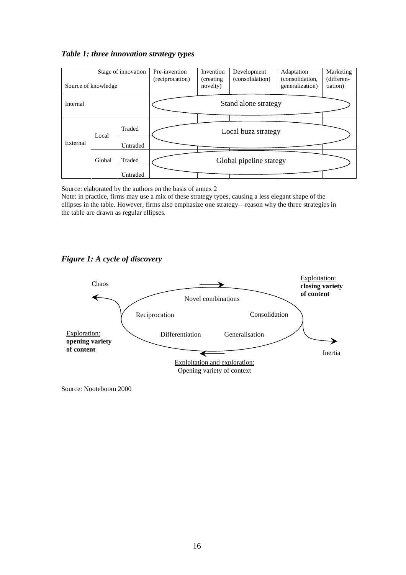## *Table 1: three innovation strategy types*

| Stage of innovation<br>Source of knowledge |        |                    | Pre-invention<br>(reciprocation) | Invention<br>(creating)<br>novelty) | Development<br>(consolidation) | Adaptation<br>(consolidation,<br>generalization) | Marketing<br>(differen-<br>tiation) |
|--------------------------------------------|--------|--------------------|----------------------------------|-------------------------------------|--------------------------------|--------------------------------------------------|-------------------------------------|
| Internal                                   |        |                    |                                  |                                     | Stand alone strategy           |                                                  |                                     |
| External                                   | Local  | Traded<br>Untraded |                                  |                                     | Local buzz strategy            |                                                  |                                     |
|                                            | Global | Traded             |                                  |                                     | Global pipeline stategy        |                                                  |                                     |
|                                            |        | Untraded           |                                  |                                     |                                |                                                  |                                     |

Source: elaborated by the authors on the basis of annex 2

Note: in practice, firms may use a mix of these strategy types, causing a less elegant shape of the ellipses in the table. However, firms also emphasize one strategy—reason why the three strategies in the table are drawn as regular ellipses.

## *Figure 1: A cycle of discovery*



Source: Nooteboom 2000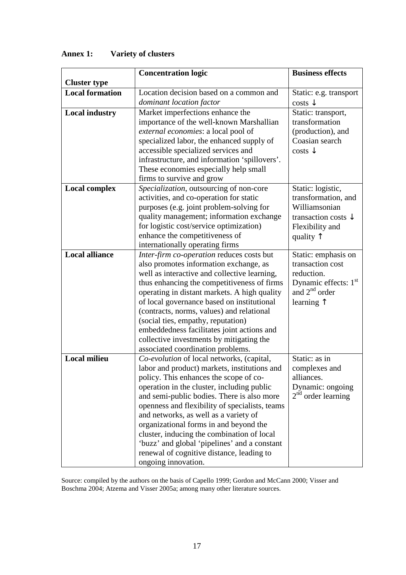|                        | <b>Concentration logic</b>                     | <b>Business effects</b>        |
|------------------------|------------------------------------------------|--------------------------------|
| <b>Cluster type</b>    |                                                |                                |
| <b>Local formation</b> | Location decision based on a common and        | Static: e.g. transport         |
|                        | dominant location factor                       | $\cos ts \downarrow$           |
| <b>Local industry</b>  | Market imperfections enhance the               | Static: transport,             |
|                        | importance of the well-known Marshallian       | transformation                 |
|                        | external economies: a local pool of            | (production), and              |
|                        | specialized labor, the enhanced supply of      | Coasian search                 |
|                        | accessible specialized services and            | $costs \downarrow$             |
|                        | infrastructure, and information 'spillovers'.  |                                |
|                        | These economies especially help small          |                                |
|                        | firms to survive and grow                      |                                |
| <b>Local complex</b>   | Specialization, outsourcing of non-core        | Static: logistic,              |
|                        | activities, and co-operation for static        | transformation, and            |
|                        | purposes (e.g. joint problem-solving for       | Williamsonian                  |
|                        | quality management; information exchange       | transaction costs $\downarrow$ |
|                        | for logistic cost/service optimization)        | Flexibility and                |
|                        | enhance the competitiveness of                 | quality $\uparrow$             |
|                        | internationally operating firms                |                                |
| <b>Local alliance</b>  | Inter-firm co-operation reduces costs but      | Static: emphasis on            |
|                        | also promotes information exchange, as         | transaction cost               |
|                        | well as interactive and collective learning,   | reduction.                     |
|                        | thus enhancing the competitiveness of firms    | Dynamic effects: 1st           |
|                        | operating in distant markets. A high quality   | and $2nd$ order                |
|                        | of local governance based on institutional     | learning $\uparrow$            |
|                        | (contracts, norms, values) and relational      |                                |
|                        | (social ties, empathy, reputation)             |                                |
|                        | embeddedness facilitates joint actions and     |                                |
|                        | collective investments by mitigating the       |                                |
|                        | associated coordination problems.              |                                |
| <b>Local milieu</b>    | Co-evolution of local networks, (capital,      | Static: as in                  |
|                        | labor and product) markets, institutions and   | complexes and                  |
|                        | policy. This enhances the scope of co-         | alliances.                     |
|                        | operation in the cluster, including public     | Dynamic: ongoing               |
|                        | and semi-public bodies. There is also more     | $2nd$ order learning           |
|                        | openness and flexibility of specialists, teams |                                |
|                        | and networks, as well as a variety of          |                                |
|                        | organizational forms in and beyond the         |                                |
|                        | cluster, inducing the combination of local     |                                |
|                        | 'buzz' and global 'pipelines' and a constant   |                                |
|                        | renewal of cognitive distance, leading to      |                                |
|                        | ongoing innovation.                            |                                |

# **Annex 1: Variety of clusters**

Source: compiled by the authors on the basis of Capello 1999; Gordon and McCann 2000; Visser and Boschma 2004; Atzema and Visser 2005a; among many other literature sources.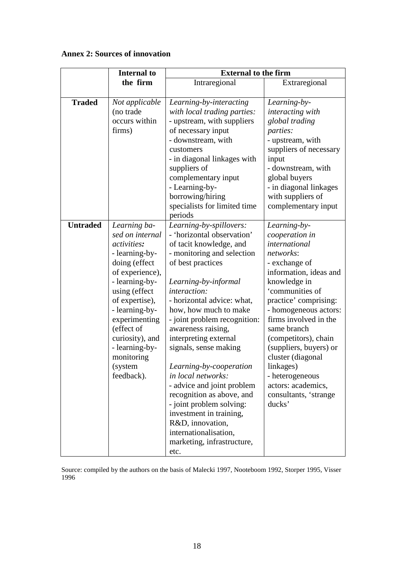**Annex 2: Sources of innovation**

|                 | <b>Internal</b> to                                                                                                                                                                                                                                                                     | <b>External to the firm</b>                                                                                                                                                                                                                                                                                                                                                                                                                                                                                                                                                                      |                                                                                                                                                                                                                                                                                                                                                                                                      |  |  |
|-----------------|----------------------------------------------------------------------------------------------------------------------------------------------------------------------------------------------------------------------------------------------------------------------------------------|--------------------------------------------------------------------------------------------------------------------------------------------------------------------------------------------------------------------------------------------------------------------------------------------------------------------------------------------------------------------------------------------------------------------------------------------------------------------------------------------------------------------------------------------------------------------------------------------------|------------------------------------------------------------------------------------------------------------------------------------------------------------------------------------------------------------------------------------------------------------------------------------------------------------------------------------------------------------------------------------------------------|--|--|
|                 | the firm                                                                                                                                                                                                                                                                               | Intraregional                                                                                                                                                                                                                                                                                                                                                                                                                                                                                                                                                                                    | Extraregional                                                                                                                                                                                                                                                                                                                                                                                        |  |  |
| <b>Traded</b>   | Not applicable<br>(no trade<br>occurs within<br>firms)                                                                                                                                                                                                                                 | Learning-by-interacting<br>with local trading parties:<br>- upstream, with suppliers<br>of necessary input<br>- downstream, with<br>customers<br>- in diagonal linkages with<br>suppliers of<br>complementary input<br>- Learning-by-<br>borrowing/hiring<br>specialists for limited time<br>periods                                                                                                                                                                                                                                                                                             | Learning-by-<br>interacting with<br>global trading<br>parties:<br>- upstream, with<br>suppliers of necessary<br>input<br>- downstream, with<br>global buyers<br>- in diagonal linkages<br>with suppliers of<br>complementary input                                                                                                                                                                   |  |  |
| <b>Untraded</b> | Learning ba-<br>sed on internal<br>activities:<br>- learning-by-<br>doing (effect<br>of experience),<br>- learning-by-<br>using (effect<br>of expertise),<br>- learning-by-<br>experimenting<br>(effect of<br>curiosity), and<br>- learning-by-<br>monitoring<br>(system<br>feedback). | Learning-by-spillovers:<br>- 'horizontal observation'<br>of tacit knowledge, and<br>- monitoring and selection<br>of best practices<br>Learning-by-informal<br>interaction:<br>- horizontal advice: what,<br>how, how much to make<br>- joint problem recognition:<br>awareness raising,<br>interpreting external<br>signals, sense making<br>Learning-by-cooperation<br>in local networks:<br>- advice and joint problem<br>recognition as above, and<br>- joint problem solving:<br>investment in training,<br>R&D, innovation,<br>internationalisation,<br>marketing, infrastructure,<br>etc. | Learning-by-<br>cooperation in<br>international<br>networks:<br>- exchange of<br>information, ideas and<br>knowledge in<br>'communities of<br>practice' comprising:<br>- homogeneous actors:<br>firms involved in the<br>same branch<br>(competitors), chain<br>(suppliers, buyers) or<br>cluster (diagonal<br>linkages)<br>- heterogeneous<br>actors: academics,<br>consultants, 'strange<br>ducks' |  |  |

Source: compiled by the authors on the basis of Malecki 1997, Nooteboom 1992, Storper 1995, Visser 1996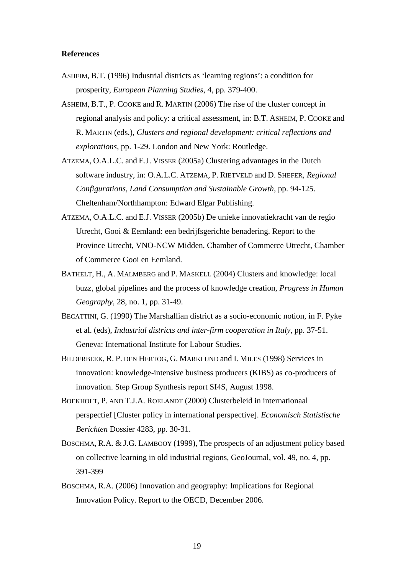#### **References**

- ASHEIM, B.T. (1996) Industrial districts as 'learning regions': a condition for prosperity, *European Planning Studies*, 4, pp. 379-400.
- ASHEIM, B.T., P. COOKE and R. MARTIN (2006) The rise of the cluster concept in regional analysis and policy: a critical assessment, in: B.T. ASHEIM, P. COOKE and R. MARTIN (eds.), *Clusters and regional development: critical reflections and explorations*, pp. 1-29. London and New York: Routledge.
- ATZEMA, O.A.L.C. and E.J. VISSER (2005a) Clustering advantages in the Dutch software industry, in: O.A.L.C. ATZEMA, P. RIETVELD and D. SHEFER, *Regional Configurations, Land Consumption and Sustainable Growth*, pp. 94-125. Cheltenham/Northhampton: Edward Elgar Publishing.
- ATZEMA, O.A.L.C. and E.J. VISSER (2005b) De unieke innovatiekracht van de regio Utrecht, Gooi & Eemland: een bedrijfsgerichte benadering. Report to the Province Utrecht, VNO-NCW Midden, Chamber of Commerce Utrecht, Chamber of Commerce Gooi en Eemland.
- BATHELT, H., A. MALMBERG and P. MASKELL (2004) Clusters and knowledge: local buzz, global pipelines and the process of knowledge creation, *Progress in Human Geography,* 28, no. 1, pp. 31-49.
- BECATTINI, G. (1990) The Marshallian district as a socio-economic notion, in F. Pyke et al. (eds), *Industrial districts and inter-firm cooperation in Italy*, pp. 37-51. Geneva: International Institute for Labour Studies.
- BILDERBEEK, R. P. DEN HERTOG, G. MARKLUND and I. MILES (1998) Services in innovation: knowledge-intensive business producers (KIBS) as co-producers of innovation. Step Group Synthesis report SI4S, August 1998.
- BOEKHOLT, P. AND T.J.A. ROELANDT (2000) Clusterbeleid in internationaal perspectief [Cluster policy in international perspective]. *Economisch Statistische Berichten* Dossier 4283, pp. 30-31.
- BOSCHMA, R.A. & J.G. LAMBOOY (1999), The prospects of an adjustment policy based on collective learning in old industrial regions, GeoJournal, vol. 49, no. 4, pp. 391-399
- BOSCHMA, R.A. (2006) Innovation and geography: Implications for Regional Innovation Policy. Report to the OECD, December 2006.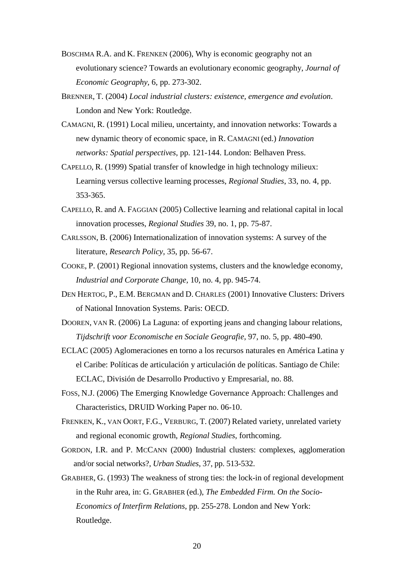- BOSCHMA R.A. and K. FRENKEN (2006), Why is economic geography not an evolutionary science? Towards an evolutionary economic geography, *Journal of Economic Geography,* 6, pp. 273-302.
- BRENNER, T. (2004) *Local industrial clusters: existence, emergence and evolution*. London and New York: Routledge.
- CAMAGNI, R. (1991) Local milieu, uncertainty, and innovation networks: Towards a new dynamic theory of economic space, in R. CAMAGNI (ed.) *Innovation networks: Spatial perspectives*, pp. 121-144. London: Belhaven Press.
- CAPELLO, R. (1999) Spatial transfer of knowledge in high technology milieux: Learning versus collective learning processes, *Regional Studies*, 33, no. 4, pp. 353-365.
- CAPELLO, R. and A. FAGGIAN (2005) Collective learning and relational capital in local innovation processes, *Regional Studies* 39, no. 1, pp. 75-87.
- CARLSSON, B. (2006) Internationalization of innovation systems: A survey of the literature, *Research Policy,* 35, pp. 56-67.
- COOKE, P. (2001) Regional innovation systems, clusters and the knowledge economy, *Industrial and Corporate Change,* 10, no. 4, pp. 945-74.
- DEN HERTOG, P., E.M. BERGMAN and D. CHARLES (2001) Innovative Clusters: Drivers of National Innovation Systems. Paris: OECD.
- DOOREN, VAN R. (2006) La Laguna: of exporting jeans and changing labour relations, *Tijdschrift voor Economische en Sociale Geografie*, 97, no. 5, pp. 480-490.
- ECLAC (2005) Aglomeraciones en torno a los recursos naturales en América Latina y el Caribe: Políticas de articulación y articulación de políticas. Santiago de Chile: ECLAC, División de Desarrollo Productivo y Empresarial, no. 88.
- FOSS, N.J. (2006) The Emerging Knowledge Governance Approach: Challenges and Characteristics, DRUID Working Paper no. 06-10.
- FRENKEN, K., VAN OORT, F.G., VERBURG, T. (2007) Related variety, unrelated variety and regional economic growth, *Regional Studies*, forthcoming.
- GORDON, I.R. and P. MCCANN (2000) Industrial clusters: complexes, agglomeration and/or social networks?, *Urban Studies*, 37, pp. 513-532.
- GRABHER, G. (1993) The weakness of strong ties: the lock-in of regional development in the Ruhr area, in: G. GRABHER (ed.), *The Embedded Firm. On the Socio-Economics of Interfirm Relations*, pp. 255-278. London and New York: Routledge.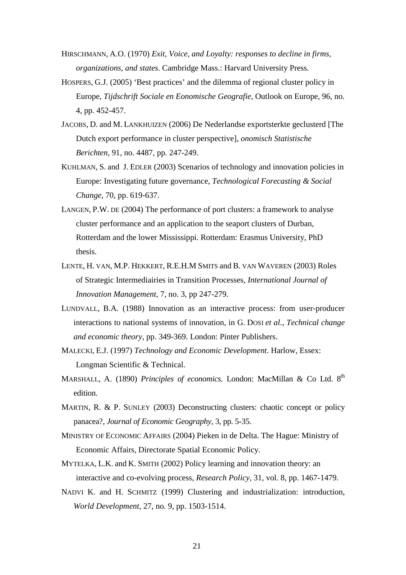- HIRSCHMANN, A.O. (1970) *Exit, Voice, and Loyalty: responses to decline in firms, organizations, and states*. Cambridge Mass.: Harvard University Press.
- HOSPERS, G.J. (2005) 'Best practices' and the dilemma of regional cluster policy in Europe, *Tijdschrift Sociale en Eonomische Geografie,* Outlook on Europe, 96, no. 4, pp. 452-457.
- JACOBS, D. and M. LANKHUIZEN (2006) De Nederlandse exportsterkte geclusterd [The Dutch export performance in cluster perspective], *onomisch Statistische Berichten*, 91, no. 4487, pp. 247-249.
- KUHLMAN, S. and J. EDLER (2003) Scenarios of technology and innovation policies in Europe: Investigating future governance, *Technological Forecasting & Social Change*, 70, pp. 619-637.
- LANGEN, P.W. DE (2004) The performance of port clusters: a framework to analyse cluster performance and an application to the seaport clusters of Durban, Rotterdam and the lower Mississippi. Rotterdam: Erasmus University, PhD thesis.
- LENTE, H. VAN, M.P. HEKKERT, R.E.H.M SMITS and B. VAN WAVEREN (2003) Roles of Strategic Intermediairies in Transition Processes, *International Journal of Innovation Management*, 7, no. 3, pp 247-279.
- LUNDVALL, B.A. (1988) Innovation as an interactive process: from user-producer interactions to national systems of innovation, in G. DOSI *et al.*, *Technical change and economic theory*, pp. 349-369. London: Pinter Publishers.
- MALECKI, E.J. (1997) *Technology and Economic Development*. Harlow, Essex: Longman Scientific & Technical.
- MARSHALL, A. (1890) *Principles of economics.* London: MacMillan & Co Ltd. 8 th edition.
- MARTIN, R. & P. SUNLEY (2003) Deconstructing clusters: chaotic concept or policy panacea?, *Journal of Economic Geography*, 3, pp. 5-35.
- MINISTRY OF ECONOMIC AFFAIRS (2004) Pieken in de Delta. The Hague: Ministry of Economic Affairs, Directorate Spatial Economic Policy.
- MYTELKA, L.K. and K. SMITH (2002) Policy learning and innovation theory: an interactive and co-evolving process, *Research Policy*, 31, vol. 8, pp. 1467-1479.
- NADVI K. and H. SCHMITZ (1999) Clustering and industrialization: introduction, *World Development*, 27, no. 9, pp. 1503-1514.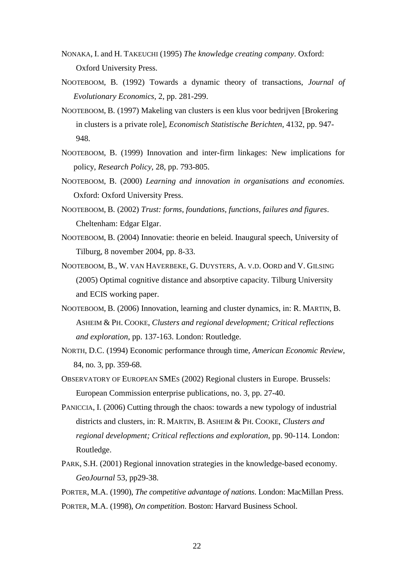- NONAKA, I. and H. TAKEUCHI (1995) *The knowledge creating company*. Oxford: Oxford University Press.
- NOOTEBOOM, B. (1992) Towards a dynamic theory of transactions, *Journal of Evolutionary Economics*, 2, pp. 281-299.
- NOOTEBOOM, B. (1997) Makeling van clusters is een klus voor bedrijven [Brokering in clusters is a private role], *Economisch Statistische Berichten*, 4132, pp. 947- 948.
- NOOTEBOOM, B. (1999) Innovation and inter-firm linkages: New implications for policy, *Research Policy*, 28, pp. 793-805.
- NOOTEBOOM, B. (2000) *Learning and innovation in organisations and economies.* Oxford: Oxford University Press.
- NOOTEBOOM, B. (2002) *Trust: forms, foundations, functions, failures and figures*. Cheltenham: Edgar Elgar.
- NOOTEBOOM, B. (2004) Innovatie: theorie en beleid. Inaugural speech, University of Tilburg, 8 november 2004, pp. 8-33.
- NOOTEBOOM, B., W. VAN HAVERBEKE, G. DUYSTERS, A. V.D. OORD and V. GILSING (2005) Optimal cognitive distance and absorptive capacity. Tilburg University and ECIS working paper.
- NOOTEBOOM, B. (2006) Innovation, learning and cluster dynamics, in: R. MARTIN, B. ASHEIM & PH. COOKE, *Clusters and regional development; Critical reflections and exploration*, pp. 137-163. London: Routledge.
- NORTH, D.C. (1994) Economic performance through time, *American Economic Review*, 84, no. 3, pp. 359-68.
- OBSERVATORY OF EUROPEAN SMES (2002) Regional clusters in Europe. Brussels: European Commission enterprise publications, no. 3, pp. 27-40.
- PANICCIA, I. (2006) Cutting through the chaos: towards a new typology of industrial districts and clusters, in: R. MARTIN, B. ASHEIM & PH. COOKE, *Clusters and regional development; Critical reflections and exploration*, pp. 90-114. London: Routledge.
- PARK, S.H. (2001) Regional innovation strategies in the knowledge-based economy. *GeoJournal* 53, pp29-38.

PORTER, M.A. (1990), *The competitive advantage of nations*. London: MacMillan Press. PORTER, M.A. (1998), *On competition*. Boston: Harvard Business School.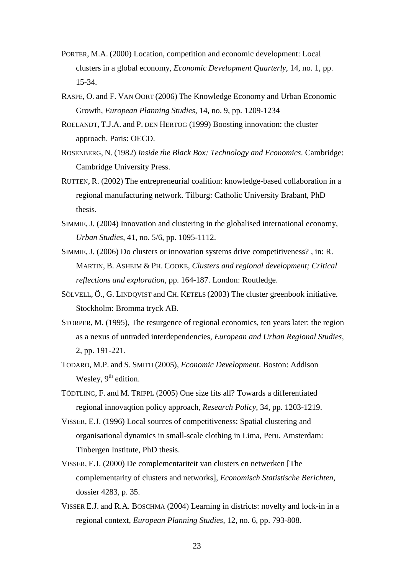- PORTER, M.A. (2000) Location, competition and economic development: Local clusters in a global economy, *Economic Development Quarterly*, 14, no. 1, pp. 15-34.
- RASPE, O. and F. VAN OORT (2006) The Knowledge Economy and Urban Economic Growth, *European Planning Studies*, 14, no. 9, pp. 1209-1234
- ROELANDT, T.J.A. and P. DEN HERTOG (1999) Boosting innovation: the cluster approach. Paris: OECD.
- ROSENBERG, N. (1982) *Inside the Black Box: Technology and Economics*. Cambridge: Cambridge University Press.
- RUTTEN, R. (2002) The entrepreneurial coalition: knowledge-based collaboration in a regional manufacturing network. Tilburg: Catholic University Brabant, PhD thesis.
- SIMMIE, J. (2004) Innovation and clustering in the globalised international economy, *Urban Studies*, 41, no. 5/6, pp. 1095-1112.
- SIMMIE, J. (2006) Do clusters or innovation systems drive competitiveness? , in: R. MARTIN, B. ASHEIM & PH. COOKE, *Clusters and regional development; Critical reflections and exploration*, pp. 164-187. London: Routledge.
- SÖLVELL, Ö., G. LINDQVIST and CH. KETELS (2003) The cluster greenbook initiative. Stockholm: Bromma tryck AB.
- STORPER, M. (1995), The resurgence of regional economics, ten years later: the region as a nexus of untraded interdependencies, *European and Urban Regional Studies*, 2, pp. 191-221.
- TODARO, M.P. and S. SMITH (2005), *Economic Development*. Boston: Addison Wesley, 9<sup>th</sup> edition.
- TÖDTLING, F. and M. TRIPPL (2005) One size fits all? Towards a differentiated regional innovaqtion policy approach, *Research Policy*, 34, pp. 1203-1219.
- VISSER, E.J. (1996) Local sources of competitiveness: Spatial clustering and organisational dynamics in small-scale clothing in Lima, Peru. Amsterdam: Tinbergen Institute, PhD thesis.
- VISSER, E.J. (2000) De complementariteit van clusters en netwerken [The complementarity of clusters and networks], *Economisch Statistische Berichten,* dossier 4283, p. 35.
- VISSER E.J. and R.A. BOSCHMA (2004) Learning in districts: novelty and lock-in in a regional context, *European Planning Studies*, 12, no. 6, pp. 793-808.